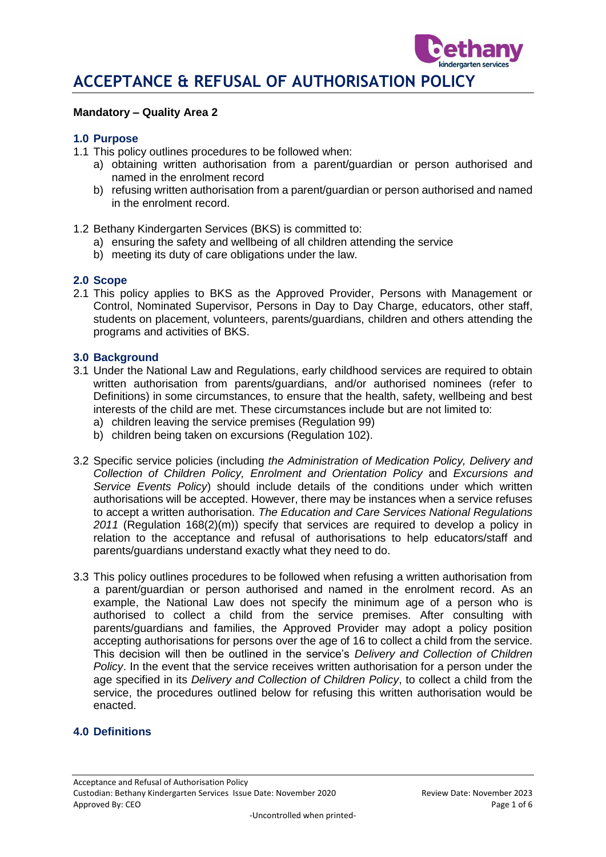

#### **Mandatory – Quality Area 2**

#### **1.0 Purpose**

- 1.1 This policy outlines procedures to be followed when:
	- a) obtaining written authorisation from a parent/guardian or person authorised and named in the enrolment record
	- b) refusing written authorisation from a parent/guardian or person authorised and named in the enrolment record.
- 1.2 Bethany Kindergarten Services (BKS) is committed to:
	- a) ensuring the safety and wellbeing of all children attending the service
	- b) meeting its duty of care obligations under the law.

#### **2.0 Scope**

2.1 This policy applies to BKS as the Approved Provider, Persons with Management or Control, Nominated Supervisor, Persons in Day to Day Charge, educators, other staff, students on placement, volunteers, parents/guardians, children and others attending the programs and activities of BKS.

#### **3.0 Background**

- 3.1 Under the National Law and Regulations, early childhood services are required to obtain written authorisation from parents/guardians, and/or authorised nominees (refer to Definitions) in some circumstances, to ensure that the health, safety, wellbeing and best interests of the child are met. These circumstances include but are not limited to:
	- a) children leaving the service premises (Regulation 99)
	- b) children being taken on excursions (Regulation 102).
- 3.2 Specific service policies (including *the Administration of Medication Policy, Delivery and Collection of Children Policy, Enrolment and Orientation Policy* and *Excursions and Service Events Policy*) should include details of the conditions under which written authorisations will be accepted. However, there may be instances when a service refuses to accept a written authorisation. *The Education and Care Services National Regulations 2011* (Regulation 168(2)(m)) specify that services are required to develop a policy in relation to the acceptance and refusal of authorisations to help educators/staff and parents/guardians understand exactly what they need to do.
- 3.3 This policy outlines procedures to be followed when refusing a written authorisation from a parent/guardian or person authorised and named in the enrolment record. As an example, the National Law does not specify the minimum age of a person who is authorised to collect a child from the service premises. After consulting with parents/guardians and families, the Approved Provider may adopt a policy position accepting authorisations for persons over the age of 16 to collect a child from the service. This decision will then be outlined in the service's *Delivery and Collection of Children Policy*. In the event that the service receives written authorisation for a person under the age specified in its *Delivery and Collection of Children Policy*, to collect a child from the service, the procedures outlined below for refusing this written authorisation would be enacted.

#### **4.0 Definitions**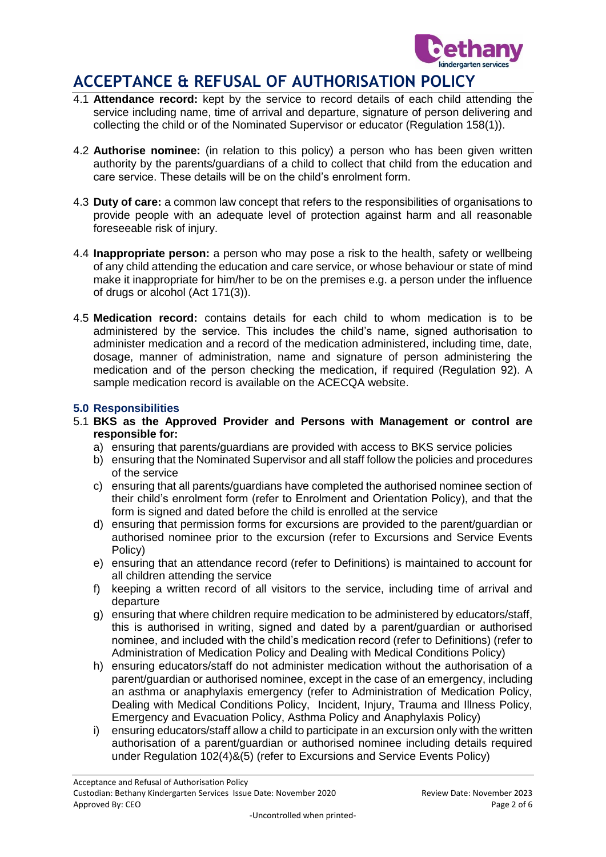

- 4.1 **Attendance record:** kept by the service to record details of each child attending the service including name, time of arrival and departure, signature of person delivering and collecting the child or of the Nominated Supervisor or educator (Regulation 158(1)).
- 4.2 **Authorise nominee:** (in relation to this policy) a person who has been given written authority by the parents/guardians of a child to collect that child from the education and care service. These details will be on the child's enrolment form.
- 4.3 **Duty of care:** a common law concept that refers to the responsibilities of organisations to provide people with an adequate level of protection against harm and all reasonable foreseeable risk of injury.
- 4.4 **Inappropriate person:** a person who may pose a risk to the health, safety or wellbeing of any child attending the education and care service, or whose behaviour or state of mind make it inappropriate for him/her to be on the premises e.g. a person under the influence of drugs or alcohol (Act 171(3)).
- 4.5 **Medication record:** contains details for each child to whom medication is to be administered by the service. This includes the child's name, signed authorisation to administer medication and a record of the medication administered, including time, date, dosage, manner of administration, name and signature of person administering the medication and of the person checking the medication, if required (Regulation 92). A sample medication record is available on the ACECQA website.

### **5.0 Responsibilities**

- 5.1 **BKS as the Approved Provider and Persons with Management or control are responsible for:**
	- a) ensuring that parents/guardians are provided with access to BKS service policies
	- b) ensuring that the Nominated Supervisor and all staff follow the policies and procedures of the service
	- c) ensuring that all parents/guardians have completed the authorised nominee section of their child's enrolment form (refer to Enrolment and Orientation Policy), and that the form is signed and dated before the child is enrolled at the service
	- d) ensuring that permission forms for excursions are provided to the parent/guardian or authorised nominee prior to the excursion (refer to Excursions and Service Events Policy)
	- e) ensuring that an attendance record (refer to Definitions) is maintained to account for all children attending the service
	- f) keeping a written record of all visitors to the service, including time of arrival and departure
	- g) ensuring that where children require medication to be administered by educators/staff, this is authorised in writing, signed and dated by a parent/guardian or authorised nominee, and included with the child's medication record (refer to Definitions) (refer to Administration of Medication Policy and Dealing with Medical Conditions Policy)
	- h) ensuring educators/staff do not administer medication without the authorisation of a parent/guardian or authorised nominee, except in the case of an emergency, including an asthma or anaphylaxis emergency (refer to Administration of Medication Policy, Dealing with Medical Conditions Policy, Incident, Injury, Trauma and Illness Policy, Emergency and Evacuation Policy, Asthma Policy and Anaphylaxis Policy)
	- i) ensuring educators/staff allow a child to participate in an excursion only with the written authorisation of a parent/guardian or authorised nominee including details required under Regulation 102(4)&(5) (refer to Excursions and Service Events Policy)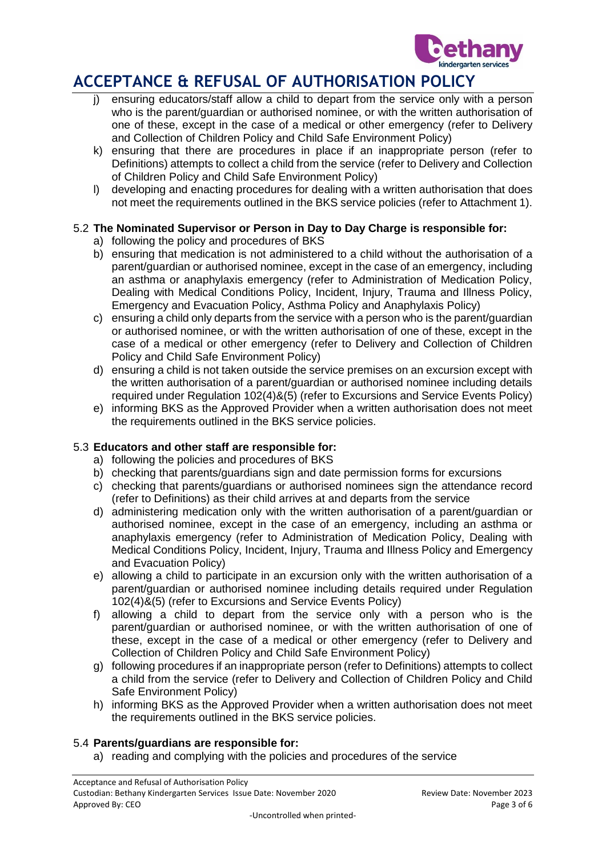

- i) ensuring educators/staff allow a child to depart from the service only with a person who is the parent/guardian or authorised nominee, or with the written authorisation of one of these, except in the case of a medical or other emergency (refer to Delivery and Collection of Children Policy and Child Safe Environment Policy)
- k) ensuring that there are procedures in place if an inappropriate person (refer to Definitions) attempts to collect a child from the service (refer to Delivery and Collection of Children Policy and Child Safe Environment Policy)
- l) developing and enacting procedures for dealing with a written authorisation that does not meet the requirements outlined in the BKS service policies (refer to Attachment 1).

## 5.2 **The Nominated Supervisor or Person in Day to Day Charge is responsible for:**

- a) following the policy and procedures of BKS
- b) ensuring that medication is not administered to a child without the authorisation of a parent/guardian or authorised nominee, except in the case of an emergency, including an asthma or anaphylaxis emergency (refer to Administration of Medication Policy, Dealing with Medical Conditions Policy, Incident, Injury, Trauma and Illness Policy, Emergency and Evacuation Policy, Asthma Policy and Anaphylaxis Policy)
- c) ensuring a child only departs from the service with a person who is the parent/guardian or authorised nominee, or with the written authorisation of one of these, except in the case of a medical or other emergency (refer to Delivery and Collection of Children Policy and Child Safe Environment Policy)
- d) ensuring a child is not taken outside the service premises on an excursion except with the written authorisation of a parent/guardian or authorised nominee including details required under Regulation 102(4)&(5) (refer to Excursions and Service Events Policy)
- e) informing BKS as the Approved Provider when a written authorisation does not meet the requirements outlined in the BKS service policies.

## 5.3 **Educators and other staff are responsible for:**

- a) following the policies and procedures of BKS
- b) checking that parents/guardians sign and date permission forms for excursions
- c) checking that parents/guardians or authorised nominees sign the attendance record (refer to Definitions) as their child arrives at and departs from the service
- d) administering medication only with the written authorisation of a parent/guardian or authorised nominee, except in the case of an emergency, including an asthma or anaphylaxis emergency (refer to Administration of Medication Policy, Dealing with Medical Conditions Policy, Incident, Injury, Trauma and Illness Policy and Emergency and Evacuation Policy)
- e) allowing a child to participate in an excursion only with the written authorisation of a parent/guardian or authorised nominee including details required under Regulation 102(4)&(5) (refer to Excursions and Service Events Policy)
- f) allowing a child to depart from the service only with a person who is the parent/guardian or authorised nominee, or with the written authorisation of one of these, except in the case of a medical or other emergency (refer to Delivery and Collection of Children Policy and Child Safe Environment Policy)
- g) following procedures if an inappropriate person (refer to Definitions) attempts to collect a child from the service (refer to Delivery and Collection of Children Policy and Child Safe Environment Policy)
- h) informing BKS as the Approved Provider when a written authorisation does not meet the requirements outlined in the BKS service policies.

#### 5.4 **Parents/guardians are responsible for:**

a) reading and complying with the policies and procedures of the service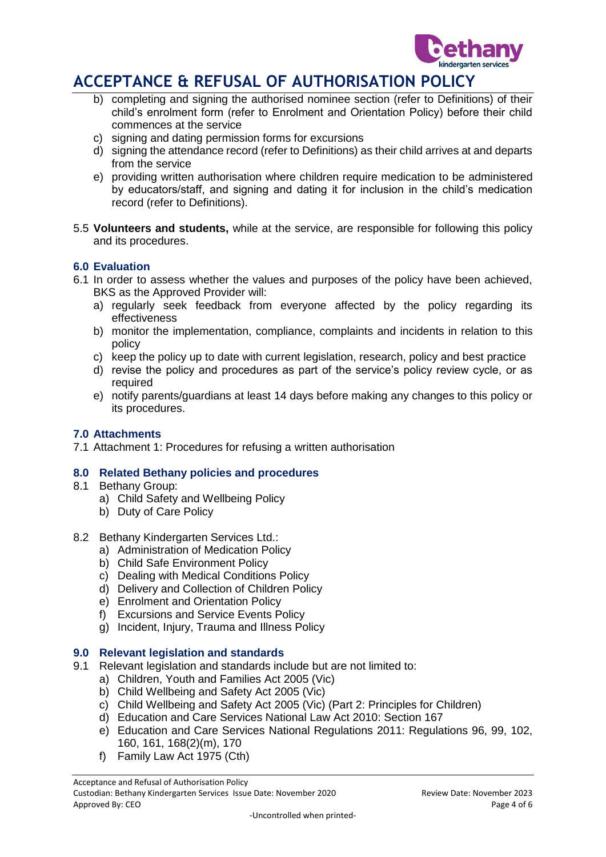

- b) completing and signing the authorised nominee section (refer to Definitions) of their child's enrolment form (refer to Enrolment and Orientation Policy) before their child commences at the service
- c) signing and dating permission forms for excursions
- d) signing the attendance record (refer to Definitions) as their child arrives at and departs from the service
- e) providing written authorisation where children require medication to be administered by educators/staff, and signing and dating it for inclusion in the child's medication record (refer to Definitions).
- 5.5 **Volunteers and students,** while at the service, are responsible for following this policy and its procedures.

### **6.0 Evaluation**

- 6.1 In order to assess whether the values and purposes of the policy have been achieved, BKS as the Approved Provider will:
	- a) regularly seek feedback from everyone affected by the policy regarding its effectiveness
	- b) monitor the implementation, compliance, complaints and incidents in relation to this policy
	- c) keep the policy up to date with current legislation, research, policy and best practice
	- d) revise the policy and procedures as part of the service's policy review cycle, or as required
	- e) notify parents/guardians at least 14 days before making any changes to this policy or its procedures.

#### **7.0 Attachments**

7.1 Attachment 1: Procedures for refusing a written authorisation

#### **8.0 Related Bethany policies and procedures**

- 8.1 Bethany Group:
	- a) Child Safety and Wellbeing Policy
	- b) Duty of Care Policy
- 8.2 Bethany Kindergarten Services Ltd.:
	- a) Administration of Medication Policy
	- b) Child Safe Environment Policy
	- c) Dealing with Medical Conditions Policy
	- d) Delivery and Collection of Children Policy
	- e) Enrolment and Orientation Policy
	- f) Excursions and Service Events Policy
	- g) Incident, Injury, Trauma and Illness Policy

#### **9.0 Relevant legislation and standards**

- 9.1 Relevant legislation and standards include but are not limited to:
	- a) Children, Youth and Families Act 2005 (Vic)
	- b) Child Wellbeing and Safety Act 2005 (Vic)
	- c) Child Wellbeing and Safety Act 2005 (Vic) (Part 2: Principles for Children)
	- d) Education and Care Services National Law Act 2010: Section 167
	- e) Education and Care Services National Regulations 2011: Regulations 96, 99, 102, 160, 161, 168(2)(m), 170
	- f) Family Law Act 1975 (Cth)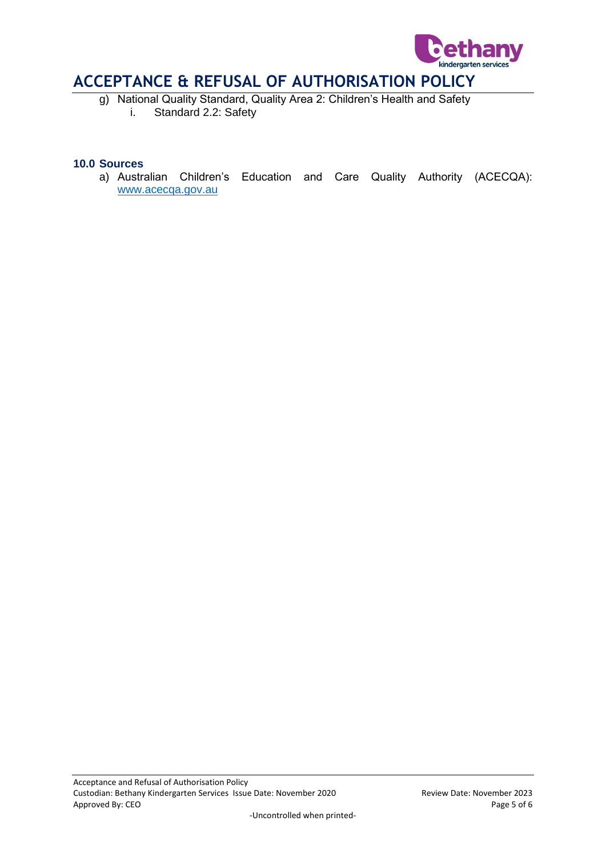

g) National Quality Standard, Quality Area 2: Children's Health and Safety i. Standard 2.2: Safety

#### **10.0 Sources**

a) Australian Children's Education and Care Quality Authority (ACECQA): [www.acecqa.gov.au](http://www.acecqa.gov.au/)